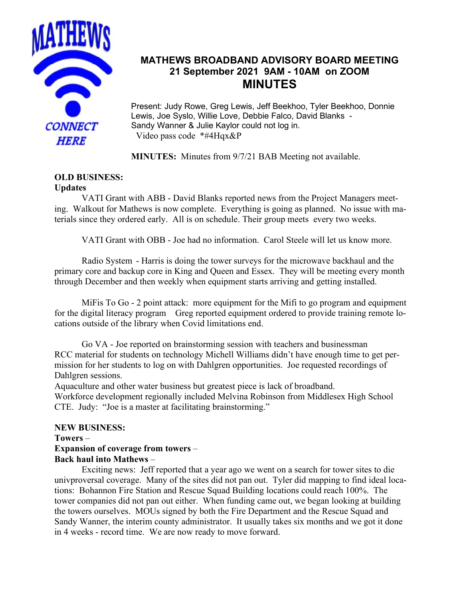

## **MATHEWS BROADBAND ADVISORY BOARD MEETING 21 September 2021 9AM - 10AM on ZOOM MINUTES**

Present: Judy Rowe, Greg Lewis, Jeff Beekhoo, Tyler Beekhoo, Donnie Lewis, Joe Syslo, Willie Love, Debbie Falco, David Blanks - Sandy Wanner & Julie Kaylor could not log in. Video pass code \*#4Hqx&P

**MINUTES:** Minutes from 9/7/21 BAB Meeting not available.

# **OLD BUSINESS:**

#### **Updates**

VATI Grant with ABB - David Blanks reported news from the Project Managers meeting. Walkout for Mathews is now complete. Everything is going as planned. No issue with materials since they ordered early. All is on schedule. Their group meets every two weeks.

VATI Grant with OBB - Joe had no information. Carol Steele will let us know more.

Radio System - Harris is doing the tower surveys for the microwave backhaul and the primary core and backup core in King and Queen and Essex. They will be meeting every month through December and then weekly when equipment starts arriving and getting installed.

MiFis To Go - 2 point attack: more equipment for the Mifi to go program and equipment for the digital literacy program Greg reported equipment ordered to provide training remote locations outside of the library when Covid limitations end.

Go VA - Joe reported on brainstorming session with teachers and businessman RCC material for students on technology Michell Williams didn't have enough time to get permission for her students to log on with Dahlgren opportunities. Joe requested recordings of Dahlgren sessions.

Aquaculture and other water business but greatest piece is lack of broadband. Workforce development regionally included Melvina Robinson from Middlesex High School CTE. Judy: "Joe is a master at facilitating brainstorming."

## **NEW BUSINESS:**

## **Towers** – **Expansion of coverage from towers** – **Back haul into Mathews** –

Exciting news: Jeff reported that a year ago we went on a search for tower sites to die univproversal coverage. Many of the sites did not pan out. Tyler did mapping to find ideal locations: Bohannon Fire Station and Rescue Squad Building locations could reach 100%. The tower companies did not pan out either. When funding came out, we began looking at building the towers ourselves. MOUs signed by both the Fire Department and the Rescue Squad and Sandy Wanner, the interim county administrator. It usually takes six months and we got it done in 4 weeks - record time. We are now ready to move forward.